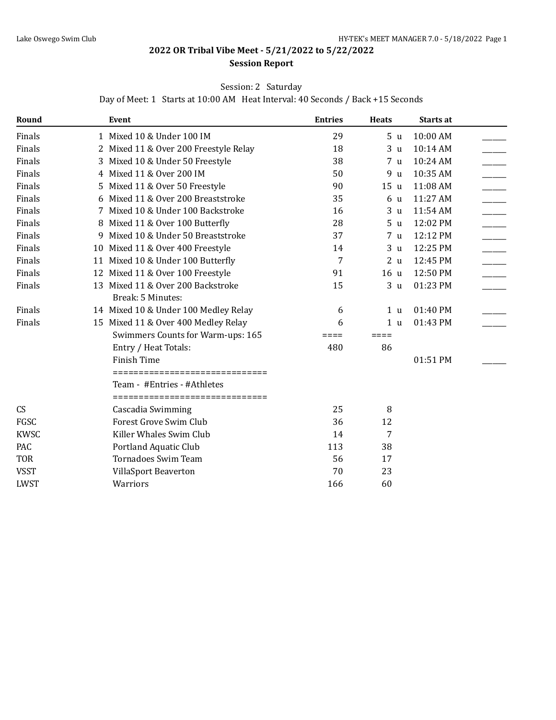## **2022 OR Tribal Vibe Meet - 5/21/2022 to 5/22/2022**

#### **Session Report**

### Session: 2 Saturday

Day of Meet: 1 Starts at 10:00 AM Heat Interval: 40 Seconds / Back +15 Seconds

| Round       |    | Event                                                          | <b>Entries</b> | <b>Heats</b>    | Starts at |  |
|-------------|----|----------------------------------------------------------------|----------------|-----------------|-----------|--|
| Finals      |    | 1 Mixed 10 & Under 100 IM                                      | 29             | 5 <sub>u</sub>  | 10:00 AM  |  |
| Finals      |    | 2 Mixed 11 & Over 200 Freestyle Relay                          | 18             | 3 <sub>u</sub>  | 10:14 AM  |  |
| Finals      | 3  | Mixed 10 & Under 50 Freestyle                                  | 38             | 7 <sub>u</sub>  | 10:24 AM  |  |
| Finals      |    | 4 Mixed 11 & Over 200 IM                                       | 50             | 9 u             | 10:35 AM  |  |
| Finals      | 5. | Mixed 11 & Over 50 Freestyle                                   | 90             | 15 u            | 11:08 AM  |  |
| Finals      |    | 6 Mixed 11 & Over 200 Breaststroke                             | 35             | 6 u             | 11:27 AM  |  |
| Finals      |    | 7 Mixed 10 & Under 100 Backstroke                              | 16             | 3 <sub>u</sub>  | 11:54 AM  |  |
| Finals      |    | 8 Mixed 11 & Over 100 Butterfly                                | 28             | 5 <sub>u</sub>  | 12:02 PM  |  |
| Finals      |    | 9 Mixed 10 & Under 50 Breaststroke                             | 37             | 7 <sub>u</sub>  | 12:12 PM  |  |
| Finals      |    | 10 Mixed 11 & Over 400 Freestyle                               | 14             | 3 <sub>u</sub>  | 12:25 PM  |  |
| Finals      |    | 11 Mixed 10 & Under 100 Butterfly                              | 7              | 2 <sub>u</sub>  | 12:45 PM  |  |
| Finals      |    | 12 Mixed 11 & Over 100 Freestyle                               | 91             | 16 <sub>u</sub> | 12:50 PM  |  |
| Finals      |    | 13 Mixed 11 & Over 200 Backstroke                              | 15             | 3 <sub>u</sub>  | 01:23 PM  |  |
|             |    | Break: 5 Minutes:                                              |                |                 |           |  |
| Finals      |    | 14 Mixed 10 & Under 100 Medley Relay                           | 6              | 1 <sub>u</sub>  | 01:40 PM  |  |
| Finals      |    | 15 Mixed 11 & Over 400 Medley Relay                            | 6              | 1 <sub>u</sub>  | 01:43 PM  |  |
|             |    | Swimmers Counts for Warm-ups: 165                              | ≡≡≡≡           | ====            |           |  |
|             |    | Entry / Heat Totals:                                           | 480            | 86              |           |  |
|             |    | <b>Finish Time</b>                                             |                |                 | 01:51 PM  |  |
|             |    | ===============================                                |                |                 |           |  |
|             |    | Team - #Entries - #Athletes<br>=============================== |                |                 |           |  |
| CS          |    | Cascadia Swimming                                              | 25             | 8               |           |  |
| FGSC        |    | Forest Grove Swim Club                                         | 36             | 12              |           |  |
| <b>KWSC</b> |    | Killer Whales Swim Club                                        | 14             | 7               |           |  |
| PAC         |    | Portland Aquatic Club                                          | 113            | 38              |           |  |
| <b>TOR</b>  |    | <b>Tornadoes Swim Team</b>                                     | 56             | 17              |           |  |
| <b>VSST</b> |    | VillaSport Beaverton                                           | 70             | 23              |           |  |
| <b>LWST</b> |    | Warriors                                                       | 166            | 60              |           |  |